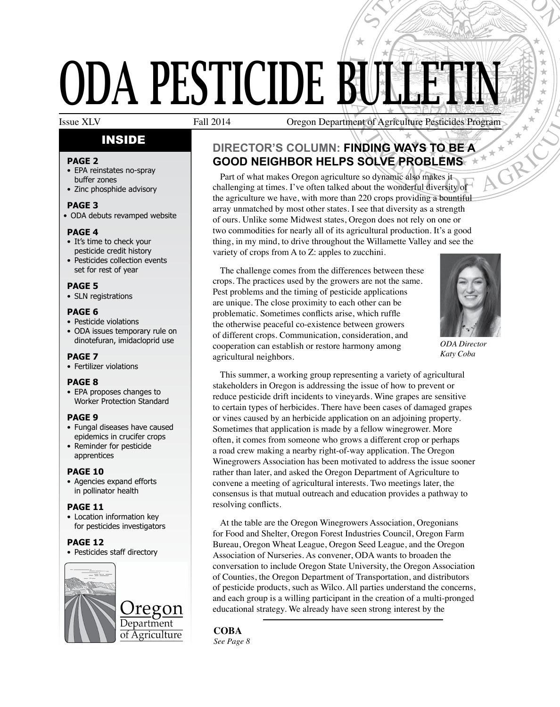# D **UDA PESTICIDE BULLETIN** PART MARTIN CONTROLLER<br>
S SOLVE PROBLEMS<br>
THINDING WAYS TO BE A<br>
S SOLVE PROBLEMS<br>
The Solve PROBLEMS<br>
The Solve PROBLEMS<br>
The Solve Conderful diversity of

# INSIDE

#### **PAGE 2**

- • EPA reinstates no-spray buffer zones
- Zinc phosphide advisory
- **PAGE 3**
- ODA debuts revamped website

## **PAGE 4**

- It's time to check your pesticide credit history
- Pesticides collection events set for rest of year

## **PAGE 5**

• SLN registrations

#### **PAGE 6**

- Pesticide violations
- ODA issues temporary rule on dinotefuran, imidacloprid use

### **PAGE 7**

• Fertilizer violations

#### **PAGE 8**

• EPA proposes changes to Worker Protection Standard

#### **PAGE 9**

- Fungal diseases have caused epidemics in crucifer crops
- Reminder for pesticide apprentices

#### **PAGE 10**

• Agencies expand efforts in pollinator health

## **PAGE 11**

• Location information key for pesticides investigators

## **PAGE 12**

• Pesticides staff directory



Issue XLV Fall 2014 Oregon Department of Agriculture Pesticides Program

# **Director's Column: finding ways to be a good neighbor helps solve problems**

Part of what makes Oregon agriculture so dynamic also makes it challenging at times. I've often talked about the wonderful diversity of the agriculture we have, with more than 220 crops providing a bountiful array unmatched by most other states. I see that diversity as a strength of ours. Unlike some Midwest states, Oregon does not rely on one or two commodities for nearly all of its agricultural production. It's a good thing, in my mind, to drive throughout the Willamette Valley and see the variety of crops from A to Z: apples to zucchini.

The challenge comes from the differences between these crops. The practices used by the growers are not the same. Pest problems and the timing of pesticide applications are unique. The close proximity to each other can be problematic. Sometimes conflicts arise, which ruffle the otherwise peaceful co-existence between growers of different crops. Communication, consideration, and cooperation can establish or restore harmony among agricultural neighbors.



STATE OF OREGON

÷ ÷  $\star$ ÷

*ODA Director Katy Coba*

This summer, a working group representing a variety of agricultural stakeholders in Oregon is addressing the issue of how to prevent or reduce pesticide drift incidents to vineyards. Wine grapes are sensitive to certain types of herbicides. There have been cases of damaged grapes or vines caused by an herbicide application on an adjoining property. Sometimes that application is made by a fellow winegrower. More often, it comes from someone who grows a different crop or perhaps a road crew making a nearby right-of-way application. The Oregon Winegrowers Association has been motivated to address the issue sooner rather than later, and asked the Oregon Department of Agriculture to convene a meeting of agricultural interests. Two meetings later, the consensus is that mutual outreach and education provides a pathway to resolving conflicts.

At the table are the Oregon Winegrowers Association, Oregonians for Food and Shelter, Oregon Forest Industries Council, Oregon Farm Bureau, Oregon Wheat League, Oregon Seed League, and the Oregon Association of Nurseries. As convener, ODA wants to broaden the conversation to include Oregon State University, the Oregon Association of Counties, the Oregon Department of Transportation, and distributors of pesticide products, such as Wilco. All parties understand the concerns, and each group is a willing participant in the creation of a multi-pronged educational strategy. We already have seen strong interest by the

# **Coba**

*See Page 8*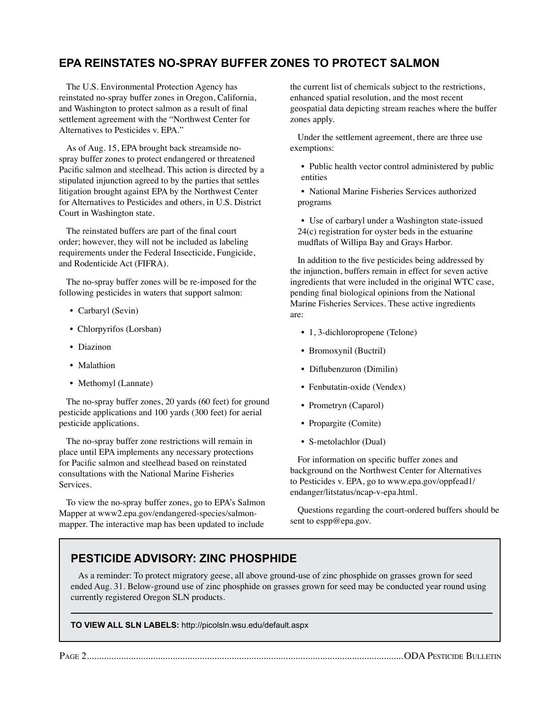## **EPA Reinstates no-spray buffer zones to protect salmon**

The U.S. Environmental Protection Agency has reinstated no-spray buffer zones in Oregon, California, and Washington to protect salmon as a result of final settlement agreement with the "Northwest Center for Alternatives to Pesticides v. EPA."

As of Aug. 15, EPA brought back streamside nospray buffer zones to protect endangered or threatened Pacific salmon and steelhead. This action is directed by a stipulated injunction agreed to by the parties that settles litigation brought against EPA by the Northwest Center for Alternatives to Pesticides and others, in U.S. District Court in Washington state.

The reinstated buffers are part of the final court order; however, they will not be included as labeling requirements under the Federal Insecticide, Fungicide, and Rodenticide Act (FIFRA).

The no-spray buffer zones will be re-imposed for the following pesticides in waters that support salmon:

- Carbaryl (Sevin)
- Chlorpyrifos (Lorsban)
- Diazinon
- Malathion
- Methomyl (Lannate)

The no-spray buffer zones, 20 yards (60 feet) for ground pesticide applications and 100 yards (300 feet) for aerial pesticide applications.

The no-spray buffer zone restrictions will remain in place until EPA implements any necessary protections for Pacific salmon and steelhead based on reinstated consultations with the National Marine Fisheries **Services**.

To view the no-spray buffer zones, go to EPA's Salmon Mapper at www2.epa.gov/endangered-species/salmonmapper. The interactive map has been updated to include

the current list of chemicals subject to the restrictions, enhanced spatial resolution, and the most recent geospatial data depicting stream reaches where the buffer zones apply.

Under the settlement agreement, there are three use exemptions:

• Public health vector control administered by public entities

• National Marine Fisheries Services authorized programs

• Use of carbaryl under a Washington state-issued 24(c) registration for oyster beds in the estuarine mudflats of Willipa Bay and Grays Harbor.

In addition to the five pesticides being addressed by the injunction, buffers remain in effect for seven active ingredients that were included in the original WTC case, pending final biological opinions from the National Marine Fisheries Services. These active ingredients are:

- 1, 3-dichloropropene (Telone)
- Bromoxynil (Buctril)
- Diflubenzuron (Dimilin)
- Fenbutatin-oxide (Vendex)
- Prometryn (Caparol)
- Propargite (Comite)
- S-metolachlor (Dual)

For information on specific buffer zones and background on the Northwest Center for Alternatives to Pesticides v. EPA, go to www.epa.gov/oppfead1/ endanger/litstatus/ncap-v-epa.html.

Questions regarding the court-ordered buffers should be sent to espp@epa.gov.

## **Pesticide Advisory: Zinc Phosphide**

As a reminder: To protect migratory geese, all above ground-use of zinc phosphide on grasses grown for seed ended Aug. 31. Below-ground use of zinc phosphide on grasses grown for seed may be conducted year round using currently registered Oregon SLN products.

**To view all SLN labels:** http://picolsln.wsu.edu/default.aspx

Page 2.................................................................................................................................ODA Pesticide Bulletin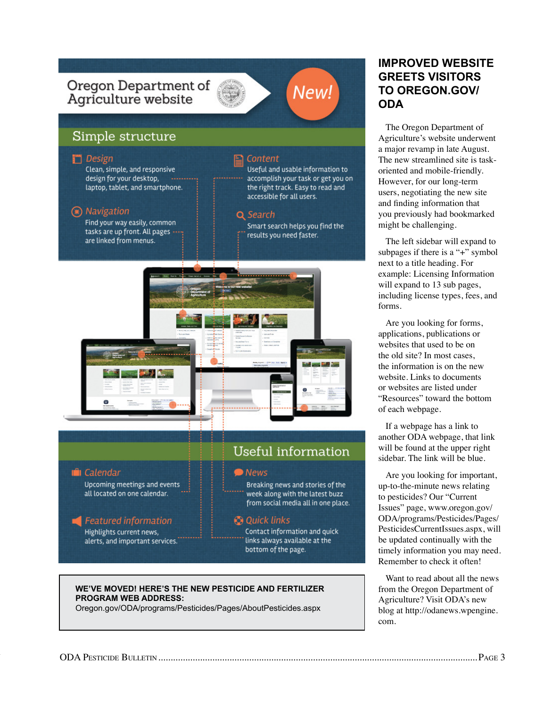

#### **we've moved! Here's the new pesticide and fertilizer program web address:**

Oregon.gov/ODA/programs/Pesticides/Pages/AboutPesticides.aspx

## **improved website greets visitors to oregon.gov/ oda**

The Oregon Department of Agriculture's website underwent a major revamp in late August. The new streamlined site is taskoriented and mobile-friendly. However, for our long-term users, negotiating the new site and finding information that you previously had bookmarked might be challenging.

The left sidebar will expand to subpages if there is a "+" symbol next to a title heading. For example: Licensing Information will expand to 13 sub pages, including license types, fees, and forms.

Are you looking for forms, applications, publications or websites that used to be on the old site? In most cases, the information is on the new website. Links to documents or websites are listed under "Resources" toward the bottom of each webpage.

If a webpage has a link to another ODA webpage, that link will be found at the upper right sidebar. The link will be blue.

Are you looking for important, up-to-the-minute news relating to pesticides? Our "Current Issues" page, www.oregon.gov/ ODA/programs/Pesticides/Pages/ PesticidesCurrentIssues.aspx, will be updated continually with the timely information you may need. Remember to check it often!

Want to read about all the news from the Oregon Department of Agriculture? Visit ODA's new blog at http://odanews.wpengine. com.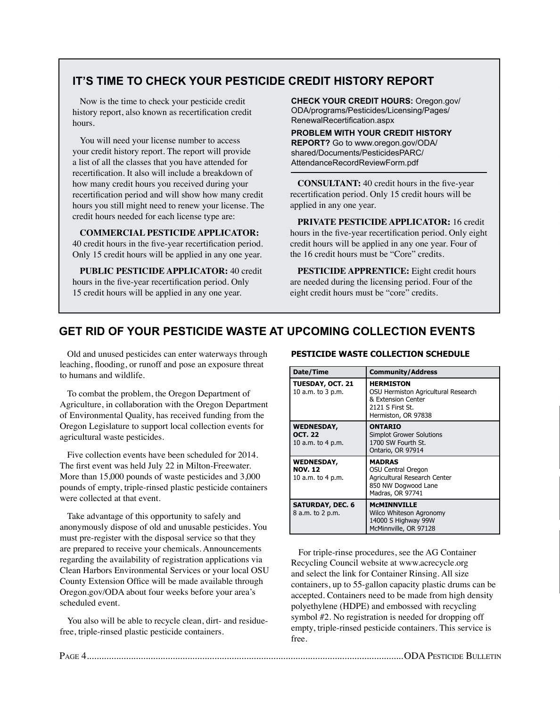## **It's Time to check your pesticide credit history report**

Now is the time to check your pesticide credit history report, also known as recertification credit hours.

You will need your license number to access your credit history report. The report will provide a list of all the classes that you have attended for recertification. It also will include a breakdown of how many credit hours you received during your recertification period and will show how many credit hours you still might need to renew your license. The credit hours needed for each license type are:

**Commercial Pesticide Applicator:**  40 credit hours in the five-year recertification period. Only 15 credit hours will be applied in any one year.

**Public Pesticide Applicator:** 40 credit hours in the five-year recertification period. Only 15 credit hours will be applied in any one year.

**check your credit hours:** Oregon.gov/ ODA/programs/Pesticides/Licensing/Pages/ RenewalRecertification.aspx

**Problem with your credit history report?** Go to www.oregon.gov/ODA/ shared/Documents/PesticidesPARC/ AttendanceRecordReviewForm.pdf

**Consultant:** 40 credit hours in the five-year recertification period. Only 15 credit hours will be applied in any one year.

**Private Pesticide Applicator:** 16 credit hours in the five-year recertification period. Only eight credit hours will be applied in any one year. Four of the 16 credit hours must be "Core" credits.

**PESTICIDE APPRENTICE:** Eight credit hours are needed during the licensing period. Four of the eight credit hours must be "core" credits.

## **get rid of your pesticide waste at upcoming collection events**

Old and unused pesticides can enter waterways through leaching, flooding, or runoff and pose an exposure threat to humans and wildlife.

To combat the problem, the Oregon Department of Agriculture, in collaboration with the Oregon Department of Environmental Quality, has received funding from the Oregon Legislature to support local collection events for agricultural waste pesticides.

Five collection events have been scheduled for 2014. The first event was held July 22 in Milton-Freewater. More than 15,000 pounds of waste pesticides and 3,000 pounds of empty, triple-rinsed plastic pesticide containers were collected at that event.

Take advantage of this opportunity to safely and anonymously dispose of old and unusable pesticides. You must pre-register with the disposal service so that they are prepared to receive your chemicals. Announcements regarding the availability of registration applications via Clean Harbors Environmental Services or your local OSU County Extension Office will be made available through Oregon.gov/ODA about four weeks before your area's scheduled event.

You also will be able to recycle clean, dirt- and residuefree, triple-rinsed plastic pesticide containers.

#### **PESTICIDE WASTE COLLECTION SCHEDULE**

| Date/Time                                                | <b>Community/Address</b>                                                                                                 |
|----------------------------------------------------------|--------------------------------------------------------------------------------------------------------------------------|
| <b>TUESDAY, OCT. 21</b><br>10 a.m. to 3 p.m.             | <b>HERMISTON</b><br>OSU Hermiston Agricultural Research<br>& Extension Center<br>2121 S First St.<br>Hermiston, OR 97838 |
| <b>WEDNESDAY,</b><br><b>OCT. 22</b><br>10 a.m. to 4 p.m. | <b>ONTARIO</b><br><b>Simplot Grower Solutions</b><br>1700 SW Fourth St.<br>Ontario, OR 97914                             |
| <b>WEDNESDAY,</b><br><b>NOV. 12</b><br>10 a.m. to 4 p.m. | <b>MADRAS</b><br>OSU Central Oregon<br>Agricultural Research Center<br>850 NW Dogwood Lane<br>Madras, OR 97741           |
| <b>SATURDAY, DEC. 6</b><br>8 a.m. to 2 p.m.              | <b>MCMINNVILLE</b><br>Wilco Whiteson Agronomy<br>14000 S Highway 99W<br>McMinnville, OR 97128                            |

For triple-rinse procedures, see the AG Container Recycling Council website at www.acrecycle.org and select the link for Container Rinsing. All size containers, up to 55-gallon capacity plastic drums can be accepted. Containers need to be made from high density polyethylene (HDPE) and embossed with recycling symbol #2. No registration is needed for dropping off empty, triple-rinsed pesticide containers. This service is free.

Page 4.................................................................................................................................ODA Pesticide Bulletin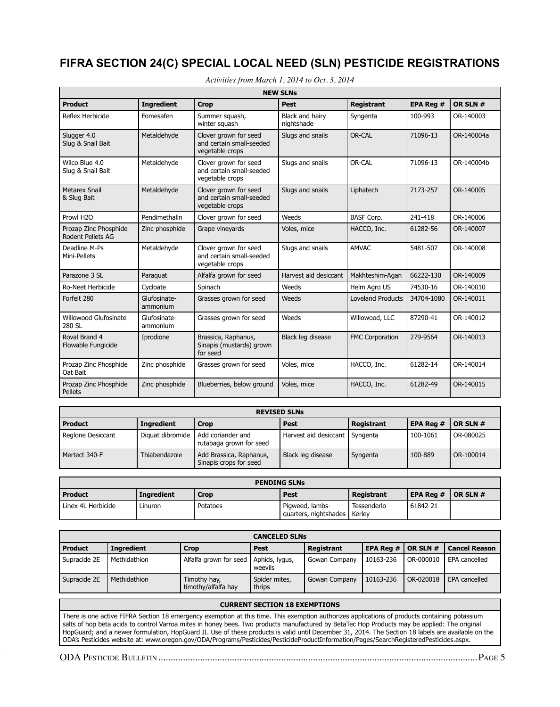# **FIFRA SECTION 24(c) Special Local Need (SLN) Pesticide Registrations**

| <b>NEW SLNs</b>                            |                          |                                                                      |                               |                          |            |            |
|--------------------------------------------|--------------------------|----------------------------------------------------------------------|-------------------------------|--------------------------|------------|------------|
| <b>Product</b>                             | <b>Ingredient</b>        | <b>Crop</b>                                                          | <b>Pest</b>                   | <b>Registrant</b>        | EPA Reg #  | OR SLN #   |
| Reflex Herbicide                           | Fomesafen                | Summer squash,<br>winter squash                                      | Black and hairy<br>nightshade | Syngenta                 | 100-993    | OR-140003  |
| Slugger 4.0<br>Slug & Snail Bait           | Metaldehyde              | Clover grown for seed<br>and certain small-seeded<br>vegetable crops | Slugs and snails              | OR-CAL                   | 71096-13   | OR-140004a |
| Wilco Blue 4.0<br>Slug & Snail Bait        | Metaldehyde              | Clover grown for seed<br>and certain small-seeded<br>vegetable crops | Slugs and snails              | OR-CAL                   | 71096-13   | OR-140004b |
| <b>Metarex Snail</b><br>& Slug Bait        | Metaldehyde              | Clover grown for seed<br>and certain small-seeded<br>vegetable crops | Slugs and snails              | Liphatech                | 7173-257   | OR-140005  |
| Prowl H2O                                  | Pendimethalin            | Clover grown for seed                                                | Weeds                         | <b>BASF Corp.</b>        | 241-418    | OR-140006  |
| Prozap Zinc Phosphide<br>Rodent Pellets AG | Zinc phosphide           | Grape vineyards                                                      | Voles, mice                   | HACCO, Inc.              | 61282-56   | OR-140007  |
| Deadline M-Ps<br>Mini-Pellets              | Metaldehyde              | Clover grown for seed<br>and certain small-seeded<br>vegetable crops | Slugs and snails              | <b>AMVAC</b>             | 5481-507   | OR-140008  |
| Parazone 3 SL                              | Paraquat                 | Alfalfa grown for seed                                               | Harvest aid desiccant         | Makhteshim-Agan          | 66222-130  | OR-140009  |
| <b>Ro-Neet Herbicide</b>                   | Cycloate                 | Spinach                                                              | Weeds                         | Helm Agro US             | 74530-16   | OR-140010  |
| Forfeit 280                                | Glufosinate-<br>ammonium | Grasses grown for seed                                               | Weeds                         | <b>Loveland Products</b> | 34704-1080 | OR-140011  |
| Willowood Glufosinate<br>280 SL            | Glufosinate-<br>ammonium | Grasses grown for seed                                               | Weeds                         | Willowood, LLC           | 87290-41   | OR-140012  |
| Roval Brand 4<br>Flowable Fungicide        | Iprodione                | Brassica, Raphanus,<br>Sinapis (mustards) grown<br>for seed          | Black leg disease             | <b>FMC Corporation</b>   | 279-9564   | OR-140013  |
| Prozap Zinc Phosphide<br>Oat Bait          | Zinc phosphide           | Grasses grown for seed                                               | Voles, mice                   | HACCO, Inc.              | 61282-14   | OR-140014  |
| Prozap Zinc Phosphide<br><b>Pellets</b>    | Zinc phosphide           | Blueberries, below ground                                            | Voles, mice                   | HACCO, Inc.              | 61282-49   | OR-140015  |

*Activities from March 1, 2014 to Oct. 3, 2014*

| <b>REVISED SLNs</b> |                   |                                                   |                                  |            |           |           |
|---------------------|-------------------|---------------------------------------------------|----------------------------------|------------|-----------|-----------|
| <b>Product</b>      | <b>Ingredient</b> | Crop                                              | Pest                             | Registrant | EPA Reg # | OR SLN #  |
| Reglone Desiccant   | Diguat dibromide  | Add coriander and<br>rutabaga grown for seed      | Harvest aid desiccant   Syngenta |            | 100-1061  | OR-080025 |
| Mertect 340-F       | Thiabendazole     | Add Brassica, Raphanus,<br>Sinapis crops for seed | Black leg disease                | Syngenta   | 100-889   | OR-100014 |

| <b>PENDING SLNs</b> |                   |          |                                          |                       |           |                |
|---------------------|-------------------|----------|------------------------------------------|-----------------------|-----------|----------------|
| Product             | <b>Ingredient</b> | Crop     | Pest                                     | Registrant            | EPA Rea # | $ $ OR SLN $#$ |
| Linex 4L Herbicide  | Linuron           | Potatoes | Pigweed, lambs-<br>quarters, nightshades | Tessenderlo<br>Kerlev | 61842-21  |                |

| <b>CANCELED SLNs</b> |                   |                                         |                         |               |                  |           |                      |
|----------------------|-------------------|-----------------------------------------|-------------------------|---------------|------------------|-----------|----------------------|
| <b>Product</b>       | <b>Ingredient</b> | <b>Crop</b>                             | Pest                    | Registrant    | <b>EPA Reg #</b> | OR SLN #  | <b>Cancel Reason</b> |
| Supracide 2E         | Methidathion      | Alfalfa grown for seed   Aphids, lygus, | weevils                 | Gowan Company | 10163-236        | OR-000010 | EPA cancelled        |
| Supracide 2E         | Methidathion      | Timothy hay,<br>timothy/alfalfa hay     | Spider mites,<br>thrips | Gowan Company | 10163-236        | OR-020018 | EPA cancelled        |
|                      |                   |                                         |                         |               |                  |           |                      |

#### **CURRENT SECTION 18 EXEMPTIONS**

There is one active FIFRA Section 18 emergency exemption at this time. This exemption authorizes applications of products containing potassium salts of hop beta acids to control Varroa mites in honey bees. Two products manufactured by BetaTec Hop Products may be applied: The original HopGuard; and a newer formulation, HopGuard II. Use of these products is valid until December 31, 2014. The Section 18 labels are available on the ODA's Pesticides website at: www.oregon.gov/ODA/Programs/Pesticides/PesticideProductInformation/Pages/SearchRegisteredPesticides.aspx.

Page 4.................................................................................................................................ODA Pesticide Bulletin ODA Pesticide Bulletin..................................................................................................................................Page 5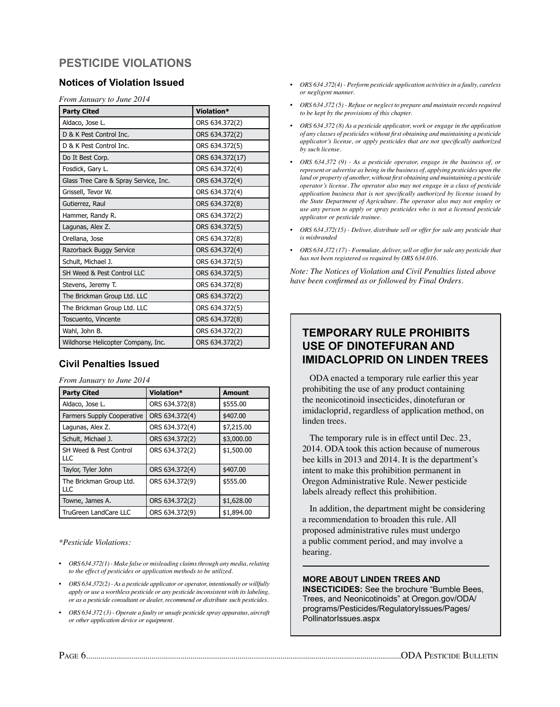# **Pesticide Violations**

## **Notices of Violation Issued**

*From January to June 2014*

| <b>Party Cited</b>                    | Violation*      |
|---------------------------------------|-----------------|
| Aldaco, Jose L.                       | ORS 634.372(2)  |
| D & K Pest Control Inc.               | ORS 634.372(2)  |
| D & K Pest Control Inc.               | ORS 634.372(5)  |
| Do It Best Corp.                      | ORS 634.372(17) |
| Fosdick, Gary L.                      | ORS 634.372(4)  |
| Glass Tree Care & Spray Service, Inc. | ORS 634.372(4)  |
| Grissell, Tevor W.                    | ORS 634.372(4)  |
| Gutierrez, Raul                       | ORS 634.372(8)  |
| Hammer, Randy R.                      | ORS 634.372(2)  |
| Lagunas, Alex Z.                      | ORS 634.372(5)  |
| Orellana, Jose                        | ORS 634.372(8)  |
| Razorback Buggy Service               | ORS 634.372(4)  |
| Schult, Michael J.                    | ORS 634.372(5)  |
| SH Weed & Pest Control LLC            | ORS 634.372(5)  |
| Stevens, Jeremy T.                    | ORS 634.372(8)  |
| The Brickman Group Ltd. LLC           | ORS 634.372(2)  |
| The Brickman Group Ltd. LLC           | ORS 634.372(5)  |
| Toscuento, Vincente                   | ORS 634.372(8)  |
| Wahl, John B.                         | ORS 634.372(2)  |
| Wildhorse Helicopter Company, Inc.    | ORS 634.372(2)  |

## **Civil Penalties Issued**

*From January to June 2014*

| <b>Party Cited</b>                | Violation*     | <b>Amount</b> |
|-----------------------------------|----------------|---------------|
| Aldaco, Jose L.                   | ORS 634.372(8) | \$555.00      |
| <b>Farmers Supply Cooperative</b> | ORS 634.372(4) | \$407.00      |
| Lagunas, Alex Z.                  | ORS 634.372(4) | \$7,215.00    |
| Schult, Michael J.                | ORS 634.372(2) | \$3,000.00    |
| SH Weed & Pest Control<br>LLC     | ORS 634.372(2) | \$1,500.00    |
| Taylor, Tyler John                | ORS 634.372(4) | \$407.00      |
| The Brickman Group Ltd.<br>LLC    | ORS 634.372(9) | \$555.00      |
| Towne, James A.                   | ORS 634.372(2) | \$1,628.00    |
| <b>TruGreen LandCare LLC</b>      | ORS 634.372(9) | \$1,894.00    |

*\*Pesticide Violations:*

- *• ORS 634.372(1) Make false or misleading claims through any media, relating to the effect of pesticides or application methods to be utilized.*
- *• ORS 634.372(2) As a pesticide applicator or operator, intentionally or willfully apply or use a worthless pesticide or any pesticide inconsistent with its labeling, or as a pesticide consultant or dealer, recommend or distribute such pesticides.*
- ORS 634.372 (3) Operate a faulty or unsafe pesticide spray apparatus, aircraft *or other application device or equipment.*
- *• ORS 634.372(4) Perform pesticide application activities in a faulty, careless or negligent manner.*
- *• ORS 634.372 (5) Refuse or neglect to prepare and maintain records required to be kept by the provisions of this chapter.*
- *• ORS 634.372 (8) As a pesticide applicator, work or engage in the application of any classes of pesticides without first obtaining and maintaining a pesticide applicator's license, or apply pesticides that are not specifically authorized by such license.*
- *• ORS 634.372 (9) As a pesticide operator, engage in the business of, or represent or advertise as being in the business of, applying pesticides upon the land or property of another, without first obtaining and maintaining a pesticide operator's license. The operator also may not engage in a class of pesticide application business that is not specifically authorized by license issued by the State Department of Agriculture. The operator also may not employ or use any person to apply or spray pesticides who is not a licensed pesticide applicator or pesticide trainee.*
- *• ORS 634.372(15) Deliver, distribute sell or offer for sale any pesticide that is misbranded*
- *• ORS 634.372 (17) Formulate, deliver, sell or offer for sale any pesticide that has not been registered os required by ORS 634.016.*

*Note: The Notices of Violation and Civil Penalties listed above have been confirmed as or followed by Final Orders.*

## **Temporary Rule Prohibits use of Dinotefuran and Imidacloprid on Linden Trees**

ODA enacted a temporary rule earlier this year prohibiting the use of any product containing the neonicotinoid insecticides, dinotefuran or imidacloprid, regardless of application method, on linden trees.

The temporary rule is in effect until Dec. 23, 2014. ODA took this action because of numerous bee kills in 2013 and 2014. It is the department's intent to make this prohibition permanent in Oregon Administrative Rule. Newer pesticide labels already reflect this prohibition.

In addition, the department might be considering a recommendation to broaden this rule. All proposed administrative rules must undergo a public comment period, and may involve a hearing.

#### **more about linden trees and**

**insecticides:** See the brochure "Bumble Bees, Trees, and Neonicotinoids" at Oregon.gov/ODA/ programs/Pesticides/RegulatoryIssues/Pages/ PollinatorIssues.aspx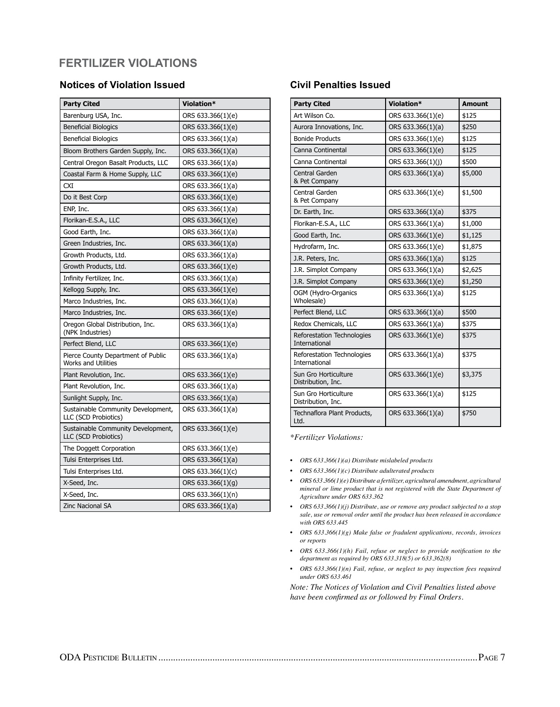# **Fertilizer Violations**

## **Notices of Violation Issued**

| <b>Party Cited</b>                                               | Violation*        |
|------------------------------------------------------------------|-------------------|
| Barenburg USA, Inc.                                              | ORS 633.366(1)(e) |
| <b>Beneficial Biologics</b>                                      | ORS 633.366(1)(e) |
| <b>Beneficial Biologics</b>                                      | ORS 633.366(1)(a) |
| Bloom Brothers Garden Supply, Inc.                               | ORS 633.366(1)(a) |
| Central Oregon Basalt Products, LLC                              | ORS 633.366(1)(a) |
| Coastal Farm & Home Supply, LLC                                  | ORS 633.366(1)(e) |
| <b>CXI</b>                                                       | ORS 633.366(1)(a) |
| Do it Best Corp                                                  | ORS 633.366(1)(e) |
| ENP, Inc.                                                        | ORS 633.366(1)(a) |
| Florikan-E.S.A., LLC                                             | ORS 633.366(1)(e) |
| Good Earth, Inc.                                                 | ORS 633.366(1)(a) |
| Green Industries, Inc.                                           | ORS 633.366(1)(a) |
| Growth Products, Ltd.                                            | ORS 633.366(1)(a) |
| Growth Products, Ltd.                                            | ORS 633.366(1)(e) |
| Infinity Fertilizer, Inc.                                        | ORS 633.366(1)(a) |
| Kellogg Supply, Inc.                                             | ORS 633.366(1)(e) |
| Marco Industries, Inc.                                           | ORS 633.366(1)(a) |
| Marco Industries, Inc.                                           | ORS 633.366(1)(e) |
| Oregon Global Distribution, Inc.<br>(NPK Industries)             | ORS 633.366(1)(a) |
| Perfect Blend, LLC                                               | ORS 633.366(1)(e) |
| Pierce County Department of Public<br><b>Works and Utilities</b> | ORS 633.366(1)(a) |
| Plant Revolution, Inc.                                           | ORS 633.366(1)(e) |
| Plant Revolution, Inc.                                           | ORS 633.366(1)(a) |
| Sunlight Supply, Inc.                                            | ORS 633.366(1)(a) |
| Sustainable Community Development,<br>LLC (SCD Probiotics)       | ORS 633.366(1)(a) |
| Sustainable Community Development,<br>LLC (SCD Probiotics)       | ORS 633.366(1)(e) |
| The Doggett Corporation                                          | ORS 633.366(1)(e) |
| Tulsi Enterprises Ltd.                                           | ORS 633.366(1)(a) |
| Tulsi Enterprises Ltd.                                           | ORS 633.366(1)(c) |
| X-Seed, Inc.                                                     | ORS 633.366(1)(g) |
| X-Seed, Inc.                                                     | ORS 633.366(1)(n) |
| <b>Zinc Nacional SA</b>                                          | ORS 633.366(1)(a) |

## **Civil Penalties Issued**

| <b>Party Cited</b>                                 | Violation*        | <b>Amount</b> |
|----------------------------------------------------|-------------------|---------------|
| Art Wilson Co.                                     | ORS 633.366(1)(e) | \$125         |
| Aurora Innovations, Inc.                           | ORS 633.366(1)(a) | \$250         |
| <b>Bonide Products</b>                             | ORS 633.366(1)(e) | \$125         |
| Canna Continental                                  | ORS 633.366(1)(e) | \$125         |
| Canna Continental                                  | ORS 633.366(1)(j) | \$500         |
| Central Garden<br>& Pet Company                    | ORS 633.366(1)(a) | \$5,000       |
| Central Garden<br>& Pet Company                    | ORS 633.366(1)(e) | \$1,500       |
| Dr. Earth, Inc.                                    | ORS 633.366(1)(a) | \$375         |
| Florikan-E.S.A., LLC                               | ORS 633.366(1)(a) | \$1,000       |
| Good Earth, Inc.                                   | ORS 633.366(1)(e) | \$1,125       |
| Hydrofarm, Inc.                                    | ORS 633.366(1)(e) | \$1,875       |
| J.R. Peters, Inc.                                  | ORS 633.366(1)(a) | \$125         |
| J.R. Simplot Company                               | ORS 633.366(1)(a) | \$2,625       |
| J.R. Simplot Company                               | ORS 633.366(1)(e) | \$1,250       |
| OGM (Hydro-Organics<br>Wholesale)                  | ORS 633.366(1)(a) | \$125         |
| Perfect Blend, LLC                                 | ORS 633.366(1)(a) | \$500         |
| Redox Chemicals, LLC                               | ORS 633.366(1)(a) | \$375         |
| Reforestation Technologies<br><b>International</b> | ORS 633.366(1)(e) | \$375         |
| Reforestation Technologies<br><b>International</b> | ORS 633.366(1)(a) | \$375         |
| Sun Gro Horticulture<br>Distribution, Inc.         | ORS 633.366(1)(e) | \$3,375       |
| Sun Gro Horticulture<br>Distribution, Inc.         | ORS 633.366(1)(a) | \$125         |
| Technaflora Plant Products,<br>Ltd.                | ORS 633.366(1)(a) | \$750         |

*\*Fertilizer Violations:*

- *• ORS 633.366(1)(a) Distribute mislabeled products*
- *• ORS 633.366(1)(c) Distribute adulterated products*
- *• ORS 633.366(1)(e) Distribute a fertilizer, agricultural amendment, agricultural mineral or lime product that is not registered with the State Department of Agriculture under ORS 633.362*
- *• ORS 633.366(1)(j) Distribute, use or remove any product subjected to a stop sale, use or removal order until the product has been released in accordance with ORS 633.445*
- *• ORS 633.366(1)(g) Make false or fradulent applications, records, invoices or reports*
- *• ORS 633.366(1)(h) Fail, refuse or neglect to provide notification to the department as required by ORS 633.318(5) or 633.362(8)*
- *• ORS 633.366(1)(n) Fail, refuse, or neglect to pay inspection fees required under ORS 633.461*

*Note: The Notices of Violation and Civil Penalties listed above have been confirmed as or followed by Final Orders.*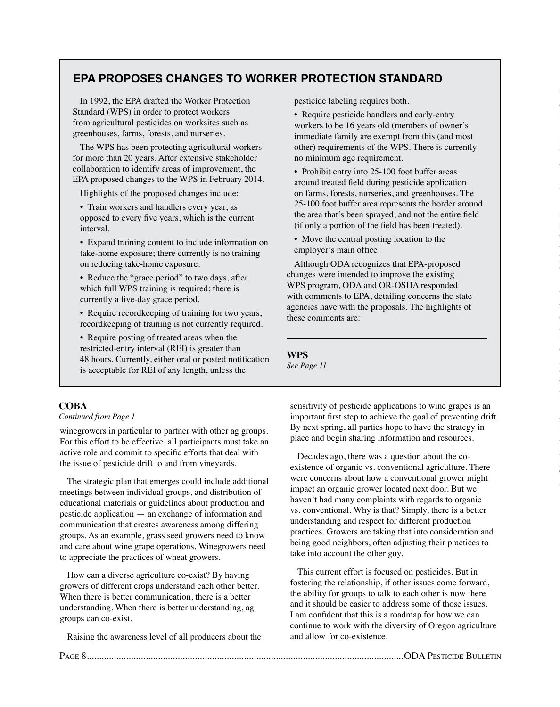## **EPA Proposes Changes to Worker Protection Standard**

In 1992, the EPA drafted the Worker Protection Standard (WPS) in order to protect workers from agricultural pesticides on worksites such as greenhouses, farms, forests, and nurseries.

The WPS has been protecting agricultural workers for more than 20 years. After extensive stakeholder collaboration to identify areas of improvement, the EPA proposed changes to the WPS in February 2014.

Highlights of the proposed changes include:

• Train workers and handlers every year, as opposed to every five years, which is the current interval.

• Expand training content to include information on take-home exposure; there currently is no training on reducing take-home exposure.

- Reduce the "grace period" to two days, after which full WPS training is required; there is currently a five-day grace period.
- Require recordkeeping of training for two years; recordkeeping of training is not currently required.
- Require posting of treated areas when the restricted-entry interval (REI) is greater than 48 hours. Currently, either oral or posted notification is acceptable for REI of any length, unless the

pesticide labeling requires both.

• Require pesticide handlers and early-entry workers to be 16 years old (members of owner's immediate family are exempt from this (and most other) requirements of the WPS. There is currently no minimum age requirement.

Willamette Valley on crops of the Brassicaceae family's cruciferous vegetables, and related plants are discussed points and as well as well as well as well as well as

 $\overline{a}$  $\mathbf l$ observed in fields of *Brassica* species vegetable crops  $\overline{a}$ 

mizuna, turnip) throughout the Willamette Valley.

genetically related crops such as *Raphanus* species (radish and daikon), canola, forage brassicas, and in volunteers  $\overline{a}$ crops are the potentially subset pathogens, whether being grown for seed, for fresh market or processing vegetables, or as for a form of cover contact contact of the cover contact contact of the cover contact contact contact contact contact contact contact contact contact contact contact contact contact contact

Health Program adopted a temporary rule in July 2014 requiring that, before planting, seed stocks of susceptible crops either be tested as free from black leg, or be treated with a fungicide or suitable alternative treatment. Only the registration of the registration of the registration of the registration of the registration of the registration of the registration of the registration of the registration of the registration of the re closely with OSU and ODA Plant Health pathologists, growers, and pesticide registrants to identify and obtain First Corporation 24(c) Special Local Local Section 24(c) Special Local Section 24(c) Special Local Internet registrations for effective products that growers can use to

 $\mathbf{r}$ for an additional seed treatment SLN. In the upcoming months, ODA likely will generate fungicides that can be used as follows to the use of the used as follows to the used as follows to the used as follows to the used as follows to the used as follows to the used as follows to the used as follows to the used growing crops to protect against wind-blown spores. These SLNs will be for products that have several modes

of action, to provide option, the contract of the contract of the contract of the contract of the contract of the contract of the contract of the contract of the contract of the contract of the contract of the contract of

manage or prevent future disease or prevent future disease or prevent future disease or prevent future disease of the contract of the contract of the contract of the contract of the contract of the contract of the contract

weeds in 2014.

• Prohibit entry into 25-100 foot buffer areas around treated field during pesticide application on farms, forests, nurseries, and greenhouses. The 25-100 foot buffer area represents the border around the area that's been sprayed, and not the entire field (if only a portion of the field has been treated).

• Move the central posting location to the employer's main office.

Although ODA recognizes that EPA-proposed changes were intended to improve the existing WPS program, ODA and OR-OSHA responded with comments to EPA, detailing concerns the state agencies have with the proposals. The highlights of these comments are:

**WPS** *See Page 11*

#### **Coba**

#### *Continued from Page 1*

winegrowers in particular to partner with other ag groups. For this effort to be effective, all participants must take an active role and commit to specific efforts that deal with the issue of pesticide drift to and from vineyards.

The strategic plan that emerges could include additional meetings between individual groups, and distribution of educational materials or guidelines about production and pesticide application — an exchange of information and communication that creates awareness among differing groups. As an example, grass seed growers need to know and care about wine grape operations. Winegrowers need to appreciate the practices of wheat growers.

How can a diverse agriculture co-exist? By having growers of different crops understand each other better. When there is better communication, there is a better understanding. When there is better understanding, ag groups can co-exist.

Raising the awareness level of all producers about the

sensitivity of pesticide applications to wine grapes is an important first step to achieve the goal of preventing drift. By next spring, all parties hope to have the strategy in place and begin sharing information and resources.

Decades ago, there was a question about the coexistence of organic vs. conventional agriculture. There were concerns about how a conventional grower might impact an organic grower located next door. But we haven't had many complaints with regards to organic vs. conventional. Why is that? Simply, there is a better understanding and respect for different production practices. Growers are taking that into consideration and being good neighbors, often adjusting their practices to take into account the other guy.

This current effort is focused on pesticides. But in fostering the relationship, if other issues come forward, the ability for groups to talk to each other is now there and it should be easier to address some of those issues. I am confident that this is a roadmap for how we can continue to work with the diversity of Oregon agriculture and allow for co-existence.

Page 8.................................................................................................................................ODA Pesticide Bulletin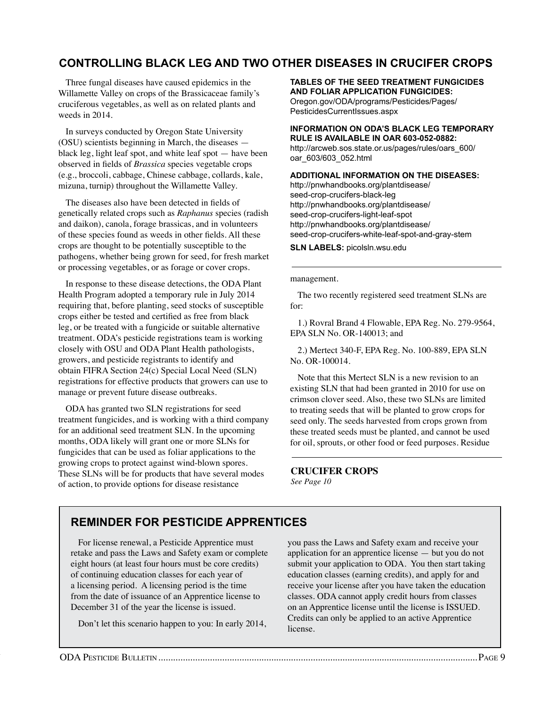## **Controlling Black Leg and Two other Diseases in Crucifer Crops**

Three fungal diseases have caused epidemics in the Willamette Valley on crops of the Brassicaceae family's cruciferous vegetables, as well as on related plants and weeds in 2014.

In surveys conducted by Oregon State University (OSU) scientists beginning in March, the diseases black leg, light leaf spot, and white leaf spot — have been observed in fields of *Brassica* species vegetable crops (e.g., broccoli, cabbage, Chinese cabbage, collards, kale, mizuna, turnip) throughout the Willamette Valley.

The diseases also have been detected in fields of genetically related crops such as *Raphanus* species (radish and daikon), canola, forage brassicas, and in volunteers of these species found as weeds in other fields. All these crops are thought to be potentially susceptible to the pathogens, whether being grown for seed, for fresh market or processing vegetables, or as forage or cover crops.

In response to these disease detections, the ODA Plant Health Program adopted a temporary rule in July 2014 requiring that, before planting, seed stocks of susceptible crops either be tested and certified as free from black leg, or be treated with a fungicide or suitable alternative treatment. ODA's pesticide registrations team is working closely with OSU and ODA Plant Health pathologists, growers, and pesticide registrants to identify and obtain FIFRA Section 24(c) Special Local Need (SLN) registrations for effective products that growers can use to manage or prevent future disease outbreaks.

ODA has granted two SLN registrations for seed treatment fungicides, and is working with a third company for an additional seed treatment SLN. In the upcoming months, ODA likely will grant one or more SLNs for fungicides that can be used as foliar applications to the growing crops to protect against wind-blown spores. These SLNs will be for products that have several modes of action, to provide options for disease resistance

#### **tables of the seed treatment fungicides and foliar application fungicides:**

Oregon.gov/ODA/programs/Pesticides/Pages/ PesticidesCurrentIssues.aspx

#### **information on ODA's black leg temporary rule is available in OAR 603-052-0882:**

http://arcweb.sos.state.or.us/pages/rules/oars\_600/ oar\_603/603\_052.html

#### **additional information on the diseases:**

http://pnwhandbooks.org/plantdisease/ seed-crop-crucifers-black-leg http://pnwhandbooks.org/plantdisease/ seed-crop-crucifers-light-leaf-spot http://pnwhandbooks.org/plantdisease/ seed-crop-crucifers-white-leaf-spot-and-gray-stem

**SLN Labels:** picolsln.wsu.edu

management.

The two recently registered seed treatment SLNs are for:

1.) Rovral Brand 4 Flowable, EPA Reg. No. 279-9564, EPA SLN No. OR-140013; and

2.) Mertect 340-F, EPA Reg. No. 100-889, EPA SLN No. OR-100014.

Note that this Mertect SLN is a new revision to an existing SLN that had been granted in 2010 for use on crimson clover seed. Also, these two SLNs are limited to treating seeds that will be planted to grow crops for seed only. The seeds harvested from crops grown from these treated seeds must be planted, and cannot be used for oil, sprouts, or other food or feed purposes. Residue

**Crucifer crops** *See Page 10*

## **Reminder for Pesticide Apprentices**

For license renewal, a Pesticide Apprentice must retake and pass the Laws and Safety exam or complete eight hours (at least four hours must be core credits) of continuing education classes for each year of a licensing period. A licensing period is the time from the date of issuance of an Apprentice license to December 31 of the year the license is issued.

Don't let this scenario happen to you: In early 2014,

you pass the Laws and Safety exam and receive your application for an apprentice license — but you do not submit your application to ODA. You then start taking education classes (earning credits), and apply for and receive your license after you have taken the education classes. ODA cannot apply credit hours from classes on an Apprentice license until the license is ISSUED. Credits can only be applied to an active Apprentice license.

Page 8.................................................................................................................................ODA Pesticide Bulletin ODA Pesticide Bulletin..................................................................................................................................Page 9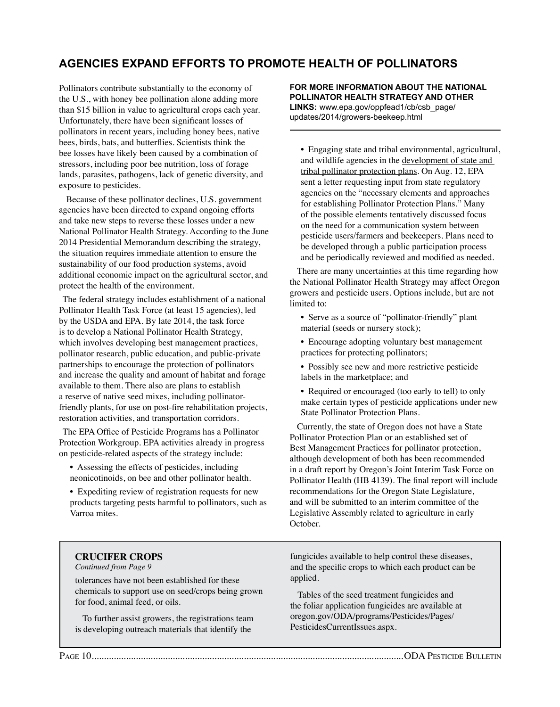# **agencies expand efforts to Promote Health of Pollinators**

Pollinators contribute substantially to the economy of the U.S., with honey bee pollination alone adding more than \$15 billion in value to agricultural crops each year. Unfortunately, there have been significant losses of pollinators in recent years, including honey bees, native bees, birds, bats, and butterflies. Scientists think the bee losses have likely been caused by a combination of stressors, including poor bee nutrition, loss of forage lands, parasites, pathogens, lack of genetic diversity, and exposure to pesticides.

Because of these pollinator declines, U.S. government agencies have been directed to expand ongoing efforts and take new steps to reverse these losses under a new National Pollinator Health Strategy. According to the June 2014 Presidential Memorandum describing the strategy, the situation requires immediate attention to ensure the sustainability of our food production systems, avoid additional economic impact on the agricultural sector, and protect the health of the environment.

The federal strategy includes establishment of a national Pollinator Health Task Force (at least 15 agencies), led by the USDA and EPA. By late 2014, the task force is to develop a National Pollinator Health Strategy, which involves developing best management practices, pollinator research, public education, and public-private partnerships to encourage the protection of pollinators and increase the quality and amount of habitat and forage available to them. There also are plans to establish a reserve of native seed mixes, including pollinatorfriendly plants, for use on post-fire rehabilitation projects, restoration activities, and transportation corridors.

The EPA Office of Pesticide Programs has a Pollinator Protection Workgroup. EPA activities already in progress on pesticide-related aspects of the strategy include:

• Assessing the effects of pesticides, including neonicotinoids, on bee and other pollinator health.

• Expediting review of registration requests for new products targeting pests harmful to pollinators, such as Varroa mites.

**For more information about the National Pollinator Health Strategy and other links:** www.epa.gov/oppfead1/cb/csb\_page/ updates/2014/growers-beekeep.html

• Engaging state and tribal environmental, agricultural, and wildlife agencies in the development of state and tribal pollinator protection plans. On Aug. 12, EPA sent a letter requesting input from state regulatory agencies on the "necessary elements and approaches for establishing Pollinator Protection Plans." Many of the possible elements tentatively discussed focus on the need for a communication system between pesticide users/farmers and beekeepers. Plans need to be developed through a public participation process and be periodically reviewed and modified as needed.

There are many uncertainties at this time regarding how the National Pollinator Health Strategy may affect Oregon growers and pesticide users. Options include, but are not limited to:

• Serve as a source of "pollinator-friendly" plant material (seeds or nursery stock);

- Encourage adopting voluntary best management practices for protecting pollinators;
- Possibly see new and more restrictive pesticide labels in the marketplace; and
- Required or encouraged (too early to tell) to only make certain types of pesticide applications under new State Pollinator Protection Plans.

Currently, the state of Oregon does not have a State Pollinator Protection Plan or an established set of Best Management Practices for pollinator protection, although development of both has been recommended in a draft report by Oregon's Joint Interim Task Force on Pollinator Health (HB 4139). The final report will include recommendations for the Oregon State Legislature, and will be submitted to an interim committee of the Legislative Assembly related to agriculture in early October.

#### **Crucifer CROPS**

*Continued from Page 9*

tolerances have not been established for these chemicals to support use on seed/crops being grown for food, animal feed, or oils.

To further assist growers, the registrations team is developing outreach materials that identify the

fungicides available to help control these diseases, and the specific crops to which each product can be applied.

Tables of the seed treatment fungicides and the foliar application fungicides are available at oregon.gov/ODA/programs/Pesticides/Pages/ PesticidesCurrentIssues.aspx.

Page 10OODA Pesticide Bulletin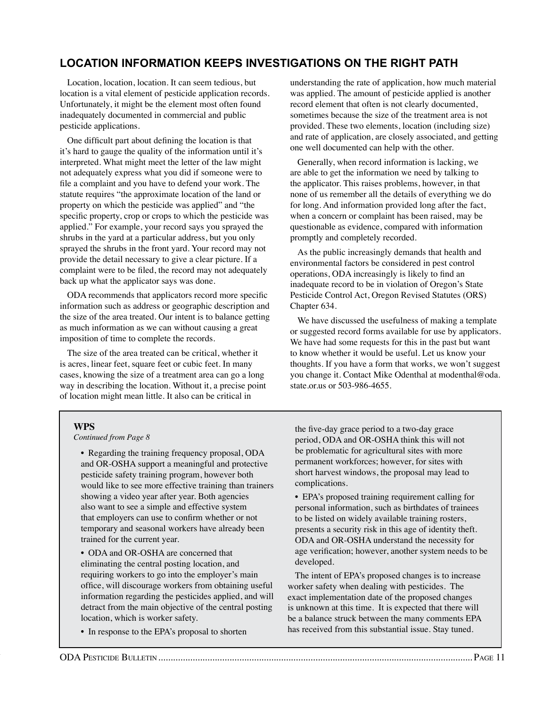# **location information keeps investigations on the right path**

Location, location, location. It can seem tedious, but location is a vital element of pesticide application records. Unfortunately, it might be the element most often found inadequately documented in commercial and public pesticide applications.

One difficult part about defining the location is that it's hard to gauge the quality of the information until it's interpreted. What might meet the letter of the law might not adequately express what you did if someone were to file a complaint and you have to defend your work. The statute requires "the approximate location of the land or property on which the pesticide was applied" and "the specific property, crop or crops to which the pesticide was applied." For example, your record says you sprayed the shrubs in the yard at a particular address, but you only sprayed the shrubs in the front yard. Your record may not provide the detail necessary to give a clear picture. If a complaint were to be filed, the record may not adequately back up what the applicator says was done.

ODA recommends that applicators record more specific information such as address or geographic description and the size of the area treated. Our intent is to balance getting as much information as we can without causing a great imposition of time to complete the records.

The size of the area treated can be critical, whether it is acres, linear feet, square feet or cubic feet. In many cases, knowing the size of a treatment area can go a long way in describing the location. Without it, a precise point of location might mean little. It also can be critical in

understanding the rate of application, how much material was applied. The amount of pesticide applied is another record element that often is not clearly documented, sometimes because the size of the treatment area is not provided. These two elements, location (including size) and rate of application, are closely associated, and getting one well documented can help with the other.

Generally, when record information is lacking, we are able to get the information we need by talking to the applicator. This raises problems, however, in that none of us remember all the details of everything we do for long. And information provided long after the fact, when a concern or complaint has been raised, may be questionable as evidence, compared with information promptly and completely recorded.

As the public increasingly demands that health and environmental factors be considered in pest control operations, ODA increasingly is likely to find an inadequate record to be in violation of Oregon's State Pesticide Control Act, Oregon Revised Statutes (ORS) Chapter 634.

We have discussed the usefulness of making a template or suggested record forms available for use by applicators. We have had some requests for this in the past but want to know whether it would be useful. Let us know your thoughts. If you have a form that works, we won't suggest you change it. Contact Mike Odenthal at modenthal@oda. state.or.us or 503-986-4655.

#### **WPS**

*Continued from Page 8*

• Regarding the training frequency proposal, ODA and OR-OSHA support a meaningful and protective pesticide safety training program, however both would like to see more effective training than trainers showing a video year after year. Both agencies also want to see a simple and effective system that employers can use to confirm whether or not temporary and seasonal workers have already been trained for the current year.

• ODA and OR-OSHA are concerned that eliminating the central posting location, and requiring workers to go into the employer's main office, will discourage workers from obtaining useful information regarding the pesticides applied, and will detract from the main objective of the central posting location, which is worker safety.

• In response to the EPA's proposal to shorten

the five-day grace period to a two-day grace period, ODA and OR-OSHA think this will not be problematic for agricultural sites with more permanent workforces; however, for sites with short harvest windows, the proposal may lead to complications.

• EPA's proposed training requirement calling for personal information, such as birthdates of trainees to be listed on widely available training rosters, presents a security risk in this age of identity theft. ODA and OR-OSHA understand the necessity for age verification; however, another system needs to be developed.

The intent of EPA's proposed changes is to increase worker safety when dealing with pesticides. The exact implementation date of the proposed changes is unknown at this time. It is expected that there will be a balance struck between the many comments EPA has received from this substantial issue. Stay tuned.